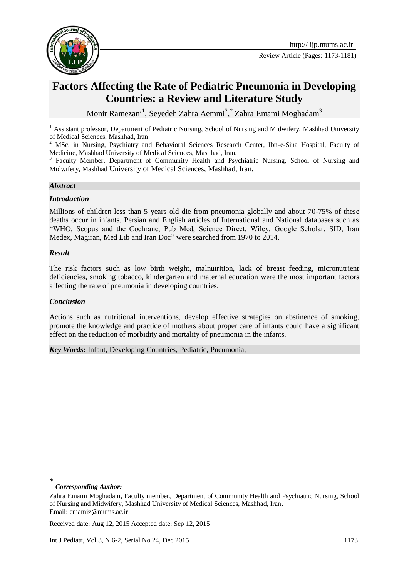

# **Factors Affecting the Rate of Pediatric Pneumonia in Developing Countries: a Review and Literature Study**

Monir Ramezani<sup>1</sup>, Seyedeh Zahra Aemmi<sup>2</sup>,\* Zahra Emami Moghadam<sup>3</sup>

<sup>1</sup> Assistant professor, Department of Pediatric Nursing, School of Nursing and Midwifery, Mashhad University of Medical Sciences, Mashhad, Iran.

<sup>2</sup> MSc. in Nursing, Psychiatry and Behavioral Sciences Research Center, Ibn-e-Sina Hospital, Faculty of Medicine, Mashhad University of Medical Sciences, Mashhad, Iran.

<sup>3</sup> Faculty Member, Department of Community Health and Psychiatric Nursing, School of Nursing and Midwifery, Mashhad University of Medical Sciences, Mashhad, Iran.

#### *Abstract*

#### *Introduction*

Millions of children less than 5 years old die from pneumonia globally and about 70-75% of these deaths occur in infants. Persian and English articles of International and National databases such as "WHO, Scopus and the Cochrane, Pub Med, Science Direct, Wiley, Google Scholar, SID, Iran Medex, Magiran, Med Lib and Iran Doc" were searched from 1970 to 2014.

#### *Result*

The risk factors such as low birth weight, malnutrition, lack of breast feeding, micronutrient deficiencies, smoking tobacco, kindergarten and maternal education were the most important factors affecting the rate of pneumonia in developing countries.

#### *Conclusion*

Actions such as nutritional interventions, develop effective strategies on abstinence of smoking, promote the knowledge and practice of mothers about proper care of infants could have a significant effect on the reduction of morbidity and mortality of pneumonia in the infants.

*Key Words***:** Infant, Developing Countries, Pediatric, Pneumonia,

<sup>-</sup>\*

*Corresponding Author:* 

Zahra Emami Moghadam, Faculty member, Department of Community Health and Psychiatric Nursing, School of Nursing and Midwifery, Mashhad University of Medical Sciences, Mashhad, Iran. Email: emamiz@mums.ac.ir

Received date: Aug 12, 2015 Accepted date: Sep 12, 2015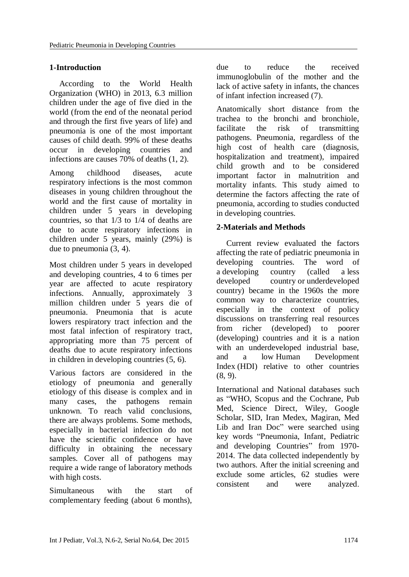# **1-Introduction**

According to the World Health Organization (WHO) in 2013, 6.3 million children under the age of five died in the world (from the end of the neonatal period and through the first five years of life) and pneumonia is one of the most important causes of child death. 99% of these deaths occur in developing countries and infections are causes 70% of deaths [\(1,](#page-5-0) [2\)](#page-5-1).

Among childhood diseases, acute respiratory infections is the most common diseases in young children throughout the world and the first cause of mortality in children under 5 years in developing countries, so that 1/3 to 1/4 of deaths are due to acute respiratory infections in children under 5 years, mainly (29%) is due to pneumonia [\(3,](#page-5-2) [4\)](#page-5-3).

Most children under 5 years in developed and developing countries, 4 to 6 times per year are affected to acute respiratory infections. Annually, approximately 3 million children under 5 years die of pneumonia. Pneumonia that is acute lowers respiratory tract infection and the most fatal infection of respiratory tract, appropriating more than 75 percent of deaths due to acute respiratory infections in children in developing countries [\(5,](#page-5-4) [6\)](#page-5-5).

Various factors are considered in the etiology of pneumonia and generally etiology of this disease is complex and in many cases, the pathogens remain unknown. To reach valid conclusions, there are always problems. Some methods, especially in bacterial infection do not have the scientific confidence or have difficulty in obtaining the necessary samples. Cover all of pathogens may require a wide range of laboratory methods with high costs.

Simultaneous with the start of complementary feeding (about 6 months), due to reduce the received immunoglobulin of the mother and the lack of active safety in infants, the chances of infant infection increased [\(7\)](#page-5-6).

Anatomically short distance from the trachea to the bronchi and bronchiole, facilitate the risk of transmitting pathogens. Pneumonia, regardless of the high cost of health care (diagnosis, hospitalization and treatment), impaired child growth and to be considered important factor in malnutrition and mortality infants. This study aimed to determine the factors affecting the rate of pneumonia, according to studies conducted in developing countries.

# **2-Materials and Methods**

Current review evaluated the factors affecting the rate of pediatric pneumonia in developing countries. The word of a developing country (called a less developed country or underdeveloped country) became in the 1960s the more common way to characterize countries, especially in the context of policy discussions on transferring real resources from richer (developed) to poorer (developing) countries and it is a nation with an underdeveloped industrial base, and a low [Human Development](https://en.wikipedia.org/wiki/Human_Development_Index)  [Index](https://en.wikipedia.org/wiki/Human_Development_Index) (HDI) relative to other countries [\(8,](#page-5-7) [9\)](#page-5-8).

International and National databases such as "WHO, Scopus and the Cochrane, Pub Med, Science Direct, Wiley, Google Scholar, SID, Iran Medex, Magiran, Med Lib and Iran Doc" were searched using key words "Pneumonia, Infant, Pediatric and developing Countries" from 1970- 2014. The data collected independently by two authors. After the initial screening and exclude some articles, 62 studies were consistent and were analyzed.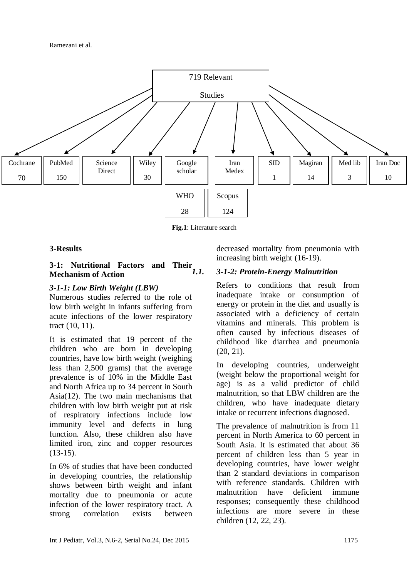

Fig.1: Literature search

#### **3-Results**

#### **3-1: Nutritional Factors and Their Mechanism of Action**

#### *3-1-1: Low Birth Weight (LBW)*

Numerous studies referred to the role of low birth weight in infants suffering from acute infections of the lower respiratory tract [\(10,](#page-5-9) [11\)](#page-5-10).

It is estimated that 19 percent of the children who are born in developing countries, have low birth weight (weighing less than 2,500 grams) that the average prevalence is of 10% in the Middle East and North Africa up to 34 percent in South Asia[\(12\)](#page-6-0). The two main mechanisms that children with low birth weight put at risk of respiratory infections include low immunity level and defects in lung function. Also, these children also have limited iron, zinc and copper resources [\(13-15\)](#page-6-1).

In 6% of studies that have been conducted in developing countries, the relationship shows between birth weight and infant mortality due to pneumonia or acute infection of the lower respiratory tract. A strong correlation exists between

decreased mortality from pneumonia with increasing birth weight [\(16-19\)](#page-6-2).

#### *1.1. 3-1-2: Protein-Energy Malnutrition*

Refers to conditions that result from inadequate intake or consumption of energy or protein in the diet and usually is associated with a deficiency of certain vitamins and minerals. This problem is often caused by infectious diseases of childhood like diarrhea and pneumonia [\(20,](#page-6-3) [21\)](#page-6-4).

In developing countries, underweight (weight below the proportional weight for age) is as a valid predictor of child malnutrition, so that LBW children are the children, who have inadequate dietary intake or recurrent infections diagnosed.

The prevalence of malnutrition is from 11 percent in North America to 60 percent in South Asia. It is estimated that about 36 percent of children less than 5 year in developing countries, have lower weight than 2 standard deviations in comparison with reference standards. Children with malnutrition have deficient immune responses; consequently these childhood infections are more severe in these children [\(12,](#page-6-0) [22,](#page-6-5) [23\)](#page-6-6).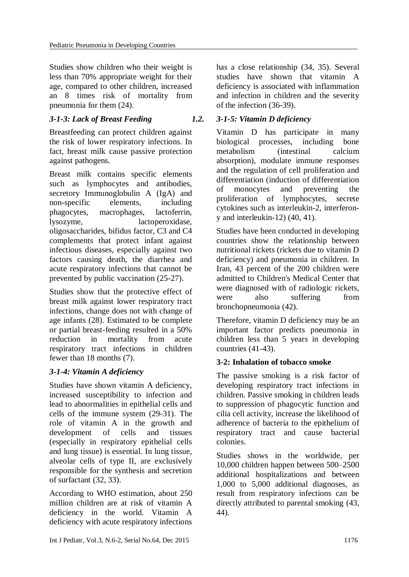Studies show children who their weight is less than 70% appropriate weight for their age, compared to other children, increased an 8 times risk of mortality from pneumonia for them [\(24\)](#page-6-7).

# *3-1-3: Lack of Breast Feeding*

Breastfeeding can protect children against the risk of lower respiratory infections. In fact, breast milk cause passive protection against pathogens.

Breast milk contains specific elements such as lymphocytes and antibodies, secretory Immunoglobulin A (IgA) and non-specific elements, including phagocytes, macrophages, lactoferrin, lysozyme, lactoperoxidase, oligosaccharides, bifidus factor, C3 and C4 complements that protect infant against infectious diseases, especially against two factors causing death, the diarrhea and acute respiratory infections that cannot be prevented by public vaccination [\(25-27\)](#page-6-8).

Studies show that the protective effect of breast milk against lower respiratory tract infections, change does not with change of age infants [\(28\)](#page-6-9). Estimated to be complete or partial breast-feeding resulted in a 50% reduction in mortality from acute respiratory tract infections in children fewer than 18 months [\(7\)](#page-5-6).

# *3-1-4: Vitamin A deficiency*

Studies have shown vitamin A deficiency, increased susceptibility to infection and lead to abnormalities in epithelial cells and cells of the immune system [\(29-31\)](#page-6-10). The role of vitamin A in the growth and development of cells and tissues (especially in respiratory epithelial cells and lung tissue) is essential. In lung tissue, alveolar cells of type II, are exclusively responsible for the synthesis and secretion of surfactant [\(32,](#page-6-11) [33\)](#page-6-12).

According to WHO estimation, about 250 million children are at risk of vitamin A deficiency in the world. Vitamin A deficiency with acute respiratory infections has a close relationship [\(34,](#page-6-13) [35\)](#page-6-14). Several studies have shown that vitamin A deficiency is associated with inflammation and infection in children and the severity of the infection [\(36-39\)](#page-7-0).

#### *1.2. 3-1-5: Vitamin D deficiency*

Vitamin D has participate in many biological processes, including bone metabolism (intestinal calcium absorption), modulate immune responses and the regulation of cell proliferation and differentiation (induction of differentiation of monocytes and preventing the proliferation of lymphocytes, secrete cytokines such as interleukin-2, interferony and interleukin-12) [\(40,](#page-7-1) [41\)](#page-7-2).

Studies have been conducted in developing countries show the relationship between nutritional rickets (rickets due to vitamin D deficiency) and pneumonia in children. In Iran, 43 percent of the 200 children were admitted to Children's Medical Center that were diagnosed with of radiologic rickets, were also suffering from bronchopneumonia [\(42\)](#page-7-3).

Therefore, vitamin D deficiency may be an important factor predicts pneumonia in children less than 5 years in developing countries (41-43).

# **3-2: Inhalation of tobacco smoke**

The passive smoking is a risk factor of developing respiratory tract infections in children. Passive smoking in children leads to suppression of phagocytic function and cilia cell activity, increase the likelihood of adherence of bacteria to the epithelium of respiratory tract and cause bacterial colonies.

Studies shows in the worldwide, per 10,000 children happen between 500–2500 additional hospitalizations and between 1,000 to 5,000 additional diagnoses, as result from respiratory infections can be directly attributed to parental smoking [\(43,](#page-7-4) [44\)](#page-7-5).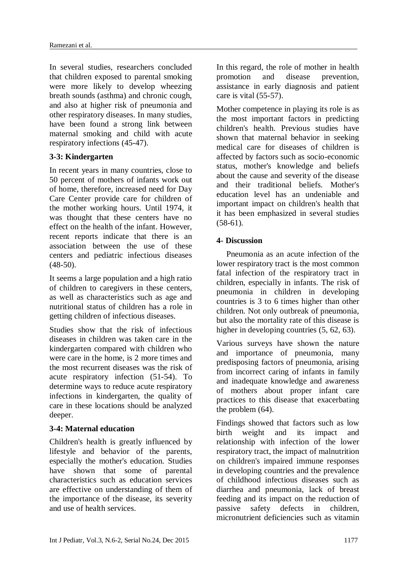In several studies, researchers concluded that children exposed to parental smoking were more likely to develop wheezing breath sounds (asthma) and chronic cough, and also at higher risk of pneumonia and other respiratory diseases. In many studies, have been found a strong link between maternal smoking and child with acute respiratory infections [\(45-47\)](#page-7-6).

# **3-3: Kindergarten**

In recent years in many countries, close to 50 percent of mothers of infants work out of home, therefore, increased need for Day Care Center provide care for children of the mother working hours. Until 1974, it was thought that these centers have no effect on the health of the infant. However, recent reports indicate that there is an association between the use of these centers and pediatric infectious diseases  $(48-50)$ .

It seems a large population and a high ratio of children to caregivers in these centers, as well as characteristics such as age and nutritional status of children has a role in getting children of infectious diseases.

Studies show that the risk of infectious diseases in children was taken care in the kindergarten compared with children who were care in the home, is 2 more times and the most recurrent diseases was the risk of acute respiratory infection [\(51-54\)](#page-7-8). To determine ways to reduce acute respiratory infections in kindergarten, the quality of care in these locations should be analyzed deeper.

# **3-4: Maternal education**

Children's health is greatly influenced by lifestyle and behavior of the parents, especially the mother's education. Studies have shown that some of parental characteristics such as education services are effective on understanding of them of the importance of the disease, its severity and use of health services.

In this regard, the role of mother in health promotion and disease prevention, assistance in early diagnosis and patient care is vital [\(55-57\)](#page-7-9).

Mother competence in playing its role is as the most important factors in predicting children's health. Previous studies have shown that maternal behavior in seeking medical care for diseases of children is affected by factors such as socio-economic status, mother's knowledge and beliefs about the cause and severity of the disease and their traditional beliefs. Mother's education level has an undeniable and important impact on children's health that it has been emphasized in several studies  $(58-61)$ .

# **4- Discussion**

Pneumonia as an acute infection of the lower respiratory tract is the most common fatal infection of the respiratory tract in children, especially in infants. The risk of pneumonia in children in developing countries is 3 to 6 times higher than other children. Not only outbreak of pneumonia, but also the mortality rate of this disease is higher in developing countries  $(5, 62, 63)$  $(5, 62, 63)$  $(5, 62, 63)$ .

Various surveys have shown the nature and importance of pneumonia, many predisposing factors of pneumonia, arising from incorrect caring of infants in family and inadequate knowledge and awareness of mothers about proper infant care practices to this disease that exacerbating the problem [\(64\)](#page-8-2).

Findings showed that factors such as low birth weight and its impact and relationship with infection of the lower respiratory tract, the impact of malnutrition on children's impaired immune responses in developing countries and the prevalence of childhood infectious diseases such as diarrhea and pneumonia, lack of breast feeding and its impact on the reduction of passive safety defects in children, micronutrient deficiencies such as vitamin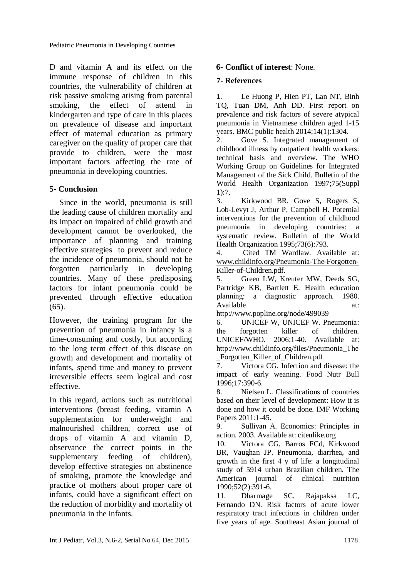D and vitamin A and its effect on the immune response of children in this countries, the vulnerability of children at risk passive smoking arising from parental smoking, the effect of attend in kindergarten and type of care in this places on prevalence of disease and important effect of maternal education as primary caregiver on the quality of proper care that provide to children, were the most important factors affecting the rate of pneumonia in developing countries.

# **5- Conclusion**

Since in the world, pneumonia is still the leading cause of children mortality and its impact on impaired of child growth and development cannot be overlooked, the importance of planning and training effective strategies to prevent and reduce the incidence of pneumonia, should not be forgotten particularly in developing countries. Many of these predisposing factors for infant pneumonia could be prevented through effective education [\(65\)](#page-8-3).

However, the training program for the prevention of pneumonia in infancy is a time-consuming and costly, but according to the long term effect of this disease on growth and development and mortality of infants, spend time and money to prevent irreversible effects seem logical and cost effective.

In this regard, actions such as nutritional interventions (breast feeding, vitamin A supplementation for underweight and malnourished children, correct use of drops of vitamin A and vitamin D, observance the correct points in the supplementary feeding of children), develop effective strategies on abstinence of smoking, promote the knowledge and practice of mothers about proper care of infants, could have a significant effect on the reduction of morbidity and mortality of pneumonia in the infants.

# **6- Conflict of interest**: None.

#### **7- References**

<span id="page-5-0"></span>1. Le Huong P, Hien PT, Lan NT, Binh TQ, Tuan DM, Anh DD. First report on prevalence and risk factors of severe atypical pneumonia in Vietnamese children aged 1-15 years. BMC public health 2014;14(1):1304.

<span id="page-5-1"></span>2. Gove S. Integrated management of childhood illness by outpatient health workers: technical basis and overview. The WHO Working Group on Guidelines for Integrated Management of the Sick Child. Bulletin of the World Health Organization 1997;75(Suppl 1):7.

<span id="page-5-2"></span>3. Kirkwood BR, Gove S, Rogers S, Lob-Levyt J, Arthur P, Campbell H. Potential interventions for the prevention of childhood pneumonia in developing countries: a systematic review. Bulletin of the World Health Organization 1995;73(6):793.

<span id="page-5-3"></span>4. Cited TM Wardlaw. Available at: www.childinfo.org/Pneumonia-The-Forgotten-Killer-of-Children.pdf.

<span id="page-5-4"></span>5. Green LW, Kreuter MW, Deeds SG, Partridge KB, Bartlett E. Health education planning: a diagnostic approach. 1980. Available at:

http://www.popline.org/node/499039

<span id="page-5-5"></span>6. UNICEF W, UNICEF W. Pneumonia: the forgotten killer of children. UNICEF/WHO. 2006:1-40. Available at: http://www.childinfo.org/files/Pneumonia\_The Forgotten Killer of Children.pdf

<span id="page-5-6"></span>7. Victora CG. Infection and disease: the impact of early weaning. Food Nutr Bull 1996;17:390-6.

<span id="page-5-7"></span>8. Nielsen L. Classifications of countries based on their level of development: How it is done and how it could be done. IMF Working Papers 2011:1-45.

<span id="page-5-8"></span>9. Sullivan A. Economics: Principles in action. 2003. Available at: citeulike.org

<span id="page-5-9"></span>10. Victora CG, Barros FCd, Kirkwood BR, Vaughan JP. Pneumonia, diarrhea, and growth in the first 4 y of life: a longitudinal study of 5914 urban Brazilian children. The American journal of clinical nutrition 1990;52(2):391-6.

<span id="page-5-10"></span>11. Dharmage SC, Rajapaksa LC, Fernando DN. Risk factors of acute lower respiratory tract infections in children under five years of age. Southeast Asian journal of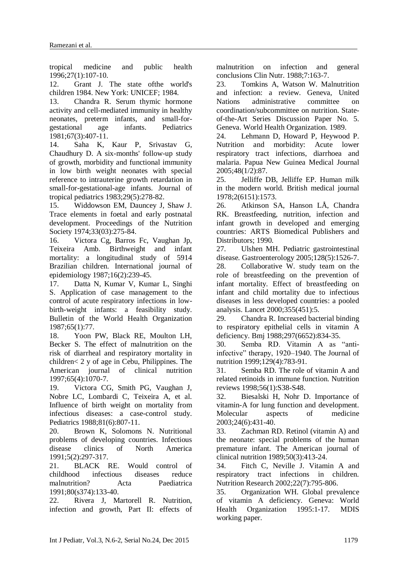tropical medicine and public health 1996;27(1):107-10.

<span id="page-6-0"></span>12. Grant J. The state ofthe world's children 1984. New York: UNICEF; 1984.

<span id="page-6-1"></span>13. Chandra R. Serum thymic hormone activity and cell-mediated immunity in healthy neonates, preterm infants, and small-forgestational age infants. Pediatrics 1981;67(3):407-11.

14. Saha K, Kaur P, Srivastav G, Chaudhury D. A six-months' follow-up study of growth, morbidity and functional immunity in low birth weight neonates with special reference to intrauterine growth retardation in small-for-gestational-age infants. Journal of tropical pediatrics 1983;29(5):278-82.

15. Widdowson EM, Dauncey J, Shaw J. Trace elements in foetal and early postnatal development. Proceedings of the Nutrition Society 1974;33(03):275-84.

<span id="page-6-2"></span>16. Victora Cg, Barros Fc, Vaughan Jp, Teixeira Amb. Birthweight and infant mortality: a longitudinal study of 5914 Brazilian children. International journal of epidemiology 1987;16(2):239-45.

17. Datta N, Kumar V, Kumar L, Singhi S. Application of case management to the control of acute respiratory infections in lowbirth-weight infants: a feasibility study. Bulletin of the World Health Organization 1987;65(1):77.

18. Yoon PW, Black RE, Moulton LH, Becker S. The effect of malnutrition on the risk of diarrheal and respiratory mortality in children< 2 y of age in Cebu, Philippines. The American journal of clinical nutrition 1997;65(4):1070-7.

19. Victora CG, Smith PG, Vaughan J, Nobre LC, Lombardi C, Teixeira A, et al. Influence of birth weight on mortality from infectious diseases: a case-control study. Pediatrics 1988;81(6):807-11.

<span id="page-6-3"></span>20. Brown K, Solomons N. Nutritional problems of developing countries. Infectious disease clinics of North America 1991;5(2):297-317.

<span id="page-6-4"></span>21. BLACK RE. Would control of childhood infectious diseases reduce malnutrition? Acta Paediatrica 1991;80(s374):133-40.

<span id="page-6-5"></span>22. Rivera J, Martorell R. Nutrition, infection and growth, Part II: effects of malnutrition on infection and general conclusions Clin Nutr. 1988;7:163-7.

<span id="page-6-6"></span>23. Tomkins A, Watson W. Malnutrition and infection: a review. Geneva, United Nations administrative committee on coordination/subcommittee on nutrition. Stateof-the-Art Series Discussion Paper No. 5. Geneva. World Health Organization. 1989.

<span id="page-6-7"></span>24. Lehmann D, Howard P, Heywood P. Nutrition and morbidity: Acute lower respiratory tract infections, diarrhoea and malaria. Papua New Guinea Medical Journal 2005;48(1/2):87.

<span id="page-6-8"></span>25. Jelliffe DB, Jelliffe EP. Human milk in the modern world. British medical journal 1978;2(6151):1573.

26. Atkinson SA, Hanson LÅ, Chandra RK. Breastfeeding, nutrition, infection and infant growth in developed and emerging countries: ARTS Biomedical Publishers and Distributors; 1990.

27. Ulshen MH. Pediatric gastrointestinal disease. Gastroenterology 2005;128(5):1526-7.

<span id="page-6-9"></span>28. Collaborative W. study team on the role of breastfeeding on the prevention of infant mortality. Effect of breastfeeding on infant and child mortality due to infectious diseases in less developed countries: a pooled analysis. Lancet 2000;355(451):5.

<span id="page-6-10"></span>29. Chandra R. Increased bacterial binding to respiratory epithelial cells in vitamin A deficiency. Bmj 1988;297(6652):834-35.

30. Semba RD. Vitamin A as "antiinfective" therapy, 1920–1940. The Journal of nutrition 1999;129(4):783-91.

31. Semba RD. The role of vitamin A and related retinoids in immune function. Nutrition reviews 1998;56(1):S38-S48.

<span id="page-6-11"></span>32. Biesalski H, Nohr D. Importance of vitamin-A for lung function and development. Molecular aspects of medicine 2003;24(6):431-40.

<span id="page-6-12"></span>33. Zachman RD. Retinol (vitamin A) and the neonate: special problems of the human premature infant. The American journal of clinical nutrition 1989;50(3):413-24.

<span id="page-6-13"></span>34. Fitch C, Neville J. Vitamin A and respiratory tract infections in children. Nutrition Research 2002;22(7):795-806.

<span id="page-6-14"></span>35. Organization WH. Global prevalence of vitamin A deficiency. Geneva: World Health Organization 1995:1-17. MDIS working paper.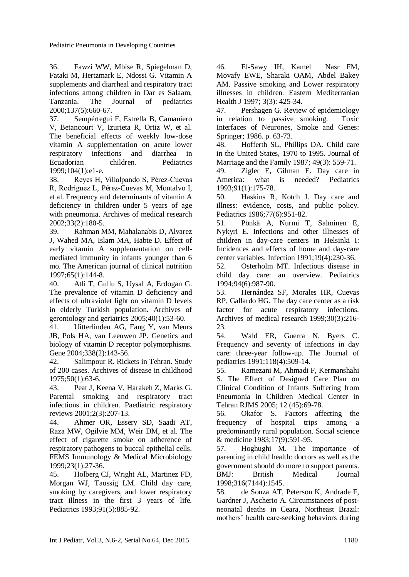<span id="page-7-0"></span>36. Fawzi WW, Mbise R, Spiegelman D, Fataki M, Hertzmark E, Ndossi G. Vitamin A supplements and diarrheal and respiratory tract infections among children in Dar es Salaam, Tanzania. The Journal of pediatrics 2000;137(5):660-67.

37. Sempértegui F, Estrella B, Camaniero V, Betancourt V, Izurieta R, Ortiz W, et al. The beneficial effects of weekly low-dose vitamin A supplementation on acute lower respiratory infections and diarrhea in Ecuadorian children. Pediatrics 1999;104(1):e1-e.

38. Reyes H, Villalpando S, Pérez-Cuevas R, Rodríguez L, Pérez-Cuevas M, Montalvo I, et al. Frequency and determinants of vitamin A deficiency in children under 5 years of age with pneumonia. Archives of medical research 2002;33(2):180-5.

39. Rahman MM, Mahalanabis D, Alvarez J, Wahed MA, Islam MA, Habte D. Effect of early vitamin A supplementation on cellmediated immunity in infants younger than 6 mo. The American journal of clinical nutrition 1997;65(1):144-8.

<span id="page-7-1"></span>40. Atli T, Gullu S, Uysal A, Erdogan G. The prevalence of vitamin D deficiency and effects of ultraviolet light on vitamin D levels in elderly Turkish population. Archives of gerontology and geriatrics 2005;40(1):53-60.

<span id="page-7-2"></span>41. Uitterlinden AG, Fang Y, van Meurs JB, Pols HA, van Leeuwen JP. Genetics and biology of vitamin D receptor polymorphisms. Gene 2004;338(2):143-56.

<span id="page-7-3"></span>42. Salimpour R. Rickets in Tehran. Study of 200 cases. Archives of disease in childhood 1975;50(1):63-6.

<span id="page-7-4"></span>43. Peat J, Keena V, Harakeh Z, Marks G. Parental smoking and respiratory tract infections in children. Paediatric respiratory reviews 2001;2(3):207-13.

<span id="page-7-5"></span>44. Ahmer OR, Essery SD, Saadi AT, Raza MW, Ogilvie MM, Weir DM, et al. The effect of cigarette smoke on adherence of respiratory pathogens to buccal epithelial cells. FEMS Immunology & Medical Microbiology 1999;23(1):27-36.

<span id="page-7-6"></span>45. Holberg CJ, Wright AL, Martinez FD, Morgan WJ, Taussig LM. Child day care, smoking by caregivers, and lower respiratory tract illness in the first 3 years of life. Pediatrics 1993;91(5):885-92.

46. El-Sawy IH, Kamel Nasr FM, Movafy EWE, Sharaki OAM, Abdel Bakey AM. Passive smoking and Lower respiratory illnesses in children. Eastern Mediterranian Health J 1997; 3(3): 425-34.

47. Pershagen G. Review of epidemiology in relation to passive smoking. Toxic Interfaces of Neurones, Smoke and Genes: Springer; 1986. p. 63-73.

<span id="page-7-7"></span>48. Hofferth SL, Phillips DA. Child care in the United States, 1970 to 1995. Journal of Marriage and the Family 1987; 49(3): 559-71.

49. Zigler E, Gilman E. Day care in America: what is needed? Pediatrics 1993;91(1):175-78.

50. Haskins R, Kotch J. Day care and illness: evidence, costs, and public policy. Pediatrics 1986;77(6):951-82.

<span id="page-7-8"></span>51. Pönkä A, Nurmi T, Salminen E, Nykyri E. Infections and other illnesses of children in day-care centers in Helsinki I: Incidences and effects of home and day-care center variables. Infection 1991;19(4):230-36.

52. Osterholm MT. Infectious disease in child day care: an overview. Pediatrics 1994;94(6):987-90.

53. Hernández SF, Morales HR, Cuevas RP, Gallardo HG. The day care center as a risk factor for acute respiratory infections. Archives of medical research 1999;30(3):216- 23.

54. Wald ER, Guerra N, Byers C. Frequency and severity of infections in day care: three-year follow-up. The Journal of pediatrics 1991;118(4):509-14.

<span id="page-7-9"></span>55. Ramezani M, Ahmadi F, Kermanshahi S. The Effect of Designed Care Plan on Clinical Condition of Infants Suffering from Pneumonia in Children Medical Center in Tehran RJMS 2005; 12 (45):69-78.

56. Okafor S. Factors affecting the frequency of hospital trips among a predominantly rural population. Social science & medicine 1983;17(9):591-95.

57. Hoghughi M. The importance of parenting in child health: doctors as well as the government should do more to support parents. BMJ: British Medical Journal 1998;316(7144):1545.

<span id="page-7-10"></span>58. de Souza AT, Peterson K, Andrade F, Gardner J, Ascherio A. Circumstances of postneonatal deaths in Ceara, Northeast Brazil: mothers' health care-seeking behaviors during